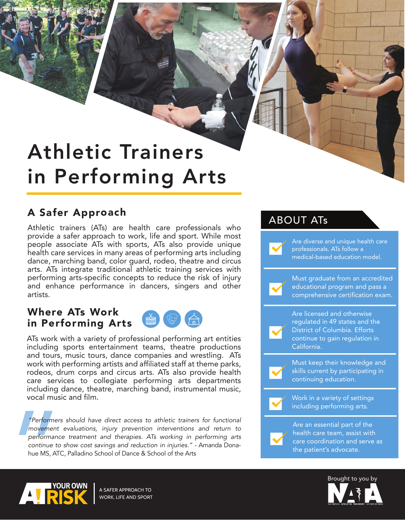# Athletic Trainers in Performing Arts

## A Safer Approach

Athletic trainers (ATs) are health care professionals who provide a safer approach to work, life and sport. While most people associate ATs with sports, ATs also provide unique health care services in many areas of performing arts including dance, marching band, color guard, rodeo, theatre and circus arts. ATs integrate traditional athletic training services with performing arts-specific concepts to reduce the risk of injury and enhance performance in dancers, singers and other artists.

## Where ATs Work in Performing Arts

ATs work with a variety of professional performing art entities including sports entertainment teams, theatre productions and tours, music tours, dance companies and wrestling. ATs work with performing artists and affiliated staff at theme parks, rodeos, drum corps and circus arts. ATs also provide health care services to collegiate performing arts departments including dance, theatre, marching band, instrumental music, vocal music and film.

"Performers<br>
movement<br>
performance<br>
continue to<br>
hue MS, ATC *"Performers should have direct access to athletic trainers for functional movement evaluations, injury prevention interventions and return to performance treatment and therapies. ATs working in performing arts continue to show cost savings and reduction in injuries." -* Amanda Donahue MS, ATC, Palladino School of Dance & School of the Arts

### ABOUT ATs

Are diverse and unique health care professionals. ATs follow a medical-based education model. Must graduate from an accredited educational program and pass a comprehensive certification exam. Are licensed and otherwise regulated in 49 states and the District of Columbia. Efforts continue to gain regulation in California. Must keep their knowledge and skills current by participating in continuing education. Work in a variety of settings including performing arts. Are an essential part of the health care team, assist with care coordination and serve as the patient's advocate.